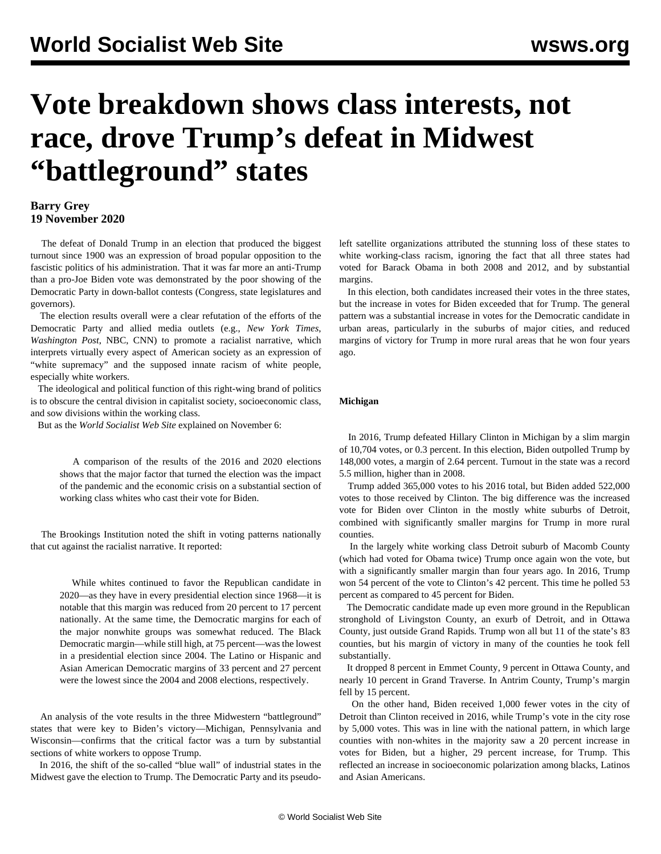# **Vote breakdown shows class interests, not race, drove Trump's defeat in Midwest "battleground" states**

# **Barry Grey 19 November 2020**

 The defeat of Donald Trump in an election that produced the biggest turnout since 1900 was an expression of broad popular opposition to the fascistic politics of his administration. That it was far more an anti-Trump than a pro-Joe Biden vote was demonstrated by the poor showing of the Democratic Party in down-ballot contests (Congress, state legislatures and governors).

 The election results overall were a clear refutation of the efforts of the Democratic Party and allied media outlets (e.g., *New York Times*, *Washington Post*, NBC, CNN) to promote a racialist narrative, which interprets virtually every aspect of American society as an expression of "white supremacy" and the supposed innate racism of white people, especially white workers.

 The ideological and political function of this right-wing brand of politics is to obscure the central division in capitalist society, socioeconomic class, and sow divisions within the working class.

But as the *World Socialist Web Site* [explained](/en/articles/2020/11/06/pers-n06.html) on November 6:

 A comparison of the results of the 2016 and 2020 elections shows that the major factor that turned the election was the impact of the pandemic and the economic crisis on a substantial section of working class whites who cast their vote for Biden.

 The Brookings Institution noted the shift in voting patterns nationally that cut against the racialist narrative. It reported:

 While whites continued to favor the Republican candidate in 2020—as they have in every presidential election since 1968—it is notable that this margin was reduced from 20 percent to 17 percent nationally. At the same time, the Democratic margins for each of the major nonwhite groups was somewhat reduced. The Black Democratic margin—while still high, at 75 percent—was the lowest in a presidential election since 2004. The Latino or Hispanic and Asian American Democratic margins of 33 percent and 27 percent were the lowest since the 2004 and 2008 elections, respectively.

 An analysis of the vote results in the three Midwestern "battleground" states that were key to Biden's victory—Michigan, Pennsylvania and Wisconsin—confirms that the critical factor was a turn by substantial sections of white workers to oppose Trump.

 In 2016, the shift of the so-called "blue wall" of industrial states in the Midwest gave the election to Trump. The Democratic Party and its pseudoleft satellite organizations attributed the stunning loss of these states to white working-class racism, ignoring the fact that all three states had voted for Barack Obama in both 2008 and 2012, and by substantial margins.

 In this election, both candidates increased their votes in the three states, but the increase in votes for Biden exceeded that for Trump. The general pattern was a substantial increase in votes for the Democratic candidate in urban areas, particularly in the suburbs of major cities, and reduced margins of victory for Trump in more rural areas that he won four years ago.

## **Michigan**

 In 2016, Trump defeated Hillary Clinton in Michigan by a slim margin of 10,704 votes, or 0.3 percent. In this election, Biden outpolled Trump by 148,000 votes, a margin of 2.64 percent. Turnout in the state was a record 5.5 million, higher than in 2008.

 Trump added 365,000 votes to his 2016 total, but Biden added 522,000 votes to those received by Clinton. The big difference was the increased vote for Biden over Clinton in the mostly white suburbs of Detroit, combined with significantly smaller margins for Trump in more rural counties.

 In the largely white working class Detroit suburb of Macomb County (which had voted for Obama twice) Trump once again won the vote, but with a significantly smaller margin than four years ago. In 2016, Trump won 54 percent of the vote to Clinton's 42 percent. This time he polled 53 percent as compared to 45 percent for Biden.

 The Democratic candidate made up even more ground in the Republican stronghold of Livingston County, an exurb of Detroit, and in Ottawa County, just outside Grand Rapids. Trump won all but 11 of the state's 83 counties, but his margin of victory in many of the counties he took fell substantially.

 It dropped 8 percent in Emmet County, 9 percent in Ottawa County, and nearly 10 percent in Grand Traverse. In Antrim County, Trump's margin fell by 15 percent.

 On the other hand, Biden received 1,000 fewer votes in the city of Detroit than Clinton received in 2016, while Trump's vote in the city rose by 5,000 votes. This was in line with the national pattern, in which large counties with non-whites in the majority saw a 20 percent increase in votes for Biden, but a higher, 29 percent increase, for Trump. This reflected an increase in socioeconomic polarization among blacks, Latinos and Asian Americans.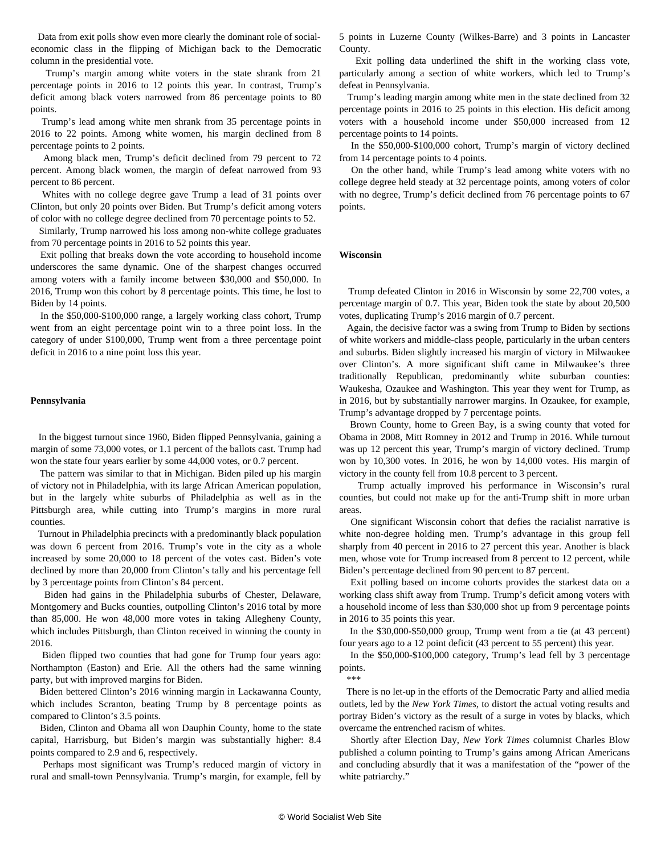Data from exit polls show even more clearly the dominant role of socialeconomic class in the flipping of Michigan back to the Democratic column in the presidential vote.

 Trump's margin among white voters in the state shrank from 21 percentage points in 2016 to 12 points this year. In contrast, Trump's deficit among black voters narrowed from 86 percentage points to 80 points.

 Trump's lead among white men shrank from 35 percentage points in 2016 to 22 points. Among white women, his margin declined from 8 percentage points to 2 points.

 Among black men, Trump's deficit declined from 79 percent to 72 percent. Among black women, the margin of defeat narrowed from 93 percent to 86 percent.

 Whites with no college degree gave Trump a lead of 31 points over Clinton, but only 20 points over Biden. But Trump's deficit among voters of color with no college degree declined from 70 percentage points to 52.

 Similarly, Trump narrowed his loss among non-white college graduates from 70 percentage points in 2016 to 52 points this year.

 Exit polling that breaks down the vote according to household income underscores the same dynamic. One of the sharpest changes occurred among voters with a family income between \$30,000 and \$50,000. In 2016, Trump won this cohort by 8 percentage points. This time, he lost to Biden by 14 points.

 In the \$50,000-\$100,000 range, a largely working class cohort, Trump went from an eight percentage point win to a three point loss. In the category of under \$100,000, Trump went from a three percentage point deficit in 2016 to a nine point loss this year.

### **Pennsylvania**

 In the biggest turnout since 1960, Biden flipped Pennsylvania, gaining a margin of some 73,000 votes, or 1.1 percent of the ballots cast. Trump had won the state four years earlier by some 44,000 votes, or 0.7 percent.

 The pattern was similar to that in Michigan. Biden piled up his margin of victory not in Philadelphia, with its large African American population, but in the largely white suburbs of Philadelphia as well as in the Pittsburgh area, while cutting into Trump's margins in more rural counties.

 Turnout in Philadelphia precincts with a predominantly black population was down 6 percent from 2016. Trump's vote in the city as a whole increased by some 20,000 to 18 percent of the votes cast. Biden's vote declined by more than 20,000 from Clinton's tally and his percentage fell by 3 percentage points from Clinton's 84 percent.

 Biden had gains in the Philadelphia suburbs of Chester, Delaware, Montgomery and Bucks counties, outpolling Clinton's 2016 total by more than 85,000. He won 48,000 more votes in taking Allegheny County, which includes Pittsburgh, than Clinton received in winning the county in 2016.

 Biden flipped two counties that had gone for Trump four years ago: Northampton (Easton) and Erie. All the others had the same winning party, but with improved margins for Biden.

 Biden bettered Clinton's 2016 winning margin in Lackawanna County, which includes Scranton, beating Trump by 8 percentage points as compared to Clinton's 3.5 points.

 Biden, Clinton and Obama all won Dauphin County, home to the state capital, Harrisburg, but Biden's margin was substantially higher: 8.4 points compared to 2.9 and 6, respectively.

 Perhaps most significant was Trump's reduced margin of victory in rural and small-town Pennsylvania. Trump's margin, for example, fell by

5 points in Luzerne County (Wilkes-Barre) and 3 points in Lancaster County.

 Exit polling data underlined the shift in the working class vote, particularly among a section of white workers, which led to Trump's defeat in Pennsylvania.

 Trump's leading margin among white men in the state declined from 32 percentage points in 2016 to 25 points in this election. His deficit among voters with a household income under \$50,000 increased from 12 percentage points to 14 points.

 In the \$50,000-\$100,000 cohort, Trump's margin of victory declined from 14 percentage points to 4 points.

 On the other hand, while Trump's lead among white voters with no college degree held steady at 32 percentage points, among voters of color with no degree, Trump's deficit declined from 76 percentage points to 67 points.

### **Wisconsin**

 Trump defeated Clinton in 2016 in Wisconsin by some 22,700 votes, a percentage margin of 0.7. This year, Biden took the state by about 20,500 votes, duplicating Trump's 2016 margin of 0.7 percent.

 Again, the decisive factor was a swing from Trump to Biden by sections of white workers and middle-class people, particularly in the urban centers and suburbs. Biden slightly increased his margin of victory in Milwaukee over Clinton's. A more significant shift came in Milwaukee's three traditionally Republican, predominantly white suburban counties: Waukesha, Ozaukee and Washington. This year they went for Trump, as in 2016, but by substantially narrower margins. In Ozaukee, for example, Trump's advantage dropped by 7 percentage points.

 Brown County, home to Green Bay, is a swing county that voted for Obama in 2008, Mitt Romney in 2012 and Trump in 2016. While turnout was up 12 percent this year, Trump's margin of victory declined. Trump won by 10,300 votes. In 2016, he won by 14,000 votes. His margin of victory in the county fell from 10.8 percent to 3 percent.

 Trump actually improved his performance in Wisconsin's rural counties, but could not make up for the anti-Trump shift in more urban areas.

 One significant Wisconsin cohort that defies the racialist narrative is white non-degree holding men. Trump's advantage in this group fell sharply from 40 percent in 2016 to 27 percent this year. Another is black men, whose vote for Trump increased from 8 percent to 12 percent, while Biden's percentage declined from 90 percent to 87 percent.

 Exit polling based on income cohorts provides the starkest data on a working class shift away from Trump. Trump's deficit among voters with a household income of less than \$30,000 shot up from 9 percentage points in 2016 to 35 points this year.

 In the \$30,000-\$50,000 group, Trump went from a tie (at 43 percent) four years ago to a 12 point deficit (43 percent to 55 percent) this year.

 In the \$50,000-\$100,000 category, Trump's lead fell by 3 percentage points.

\*\*\*

 There is no let-up in the efforts of the Democratic Party and allied media outlets, led by the *New York Times*, to distort the actual voting results and portray Biden's victory as the result of a surge in votes by blacks, which overcame the entrenched racism of whites.

 Shortly after Election Day, *New York Times* columnist Charles Blow published a column pointing to Trump's gains among African Americans and concluding absurdly that it was a manifestation of the "power of the white patriarchy."